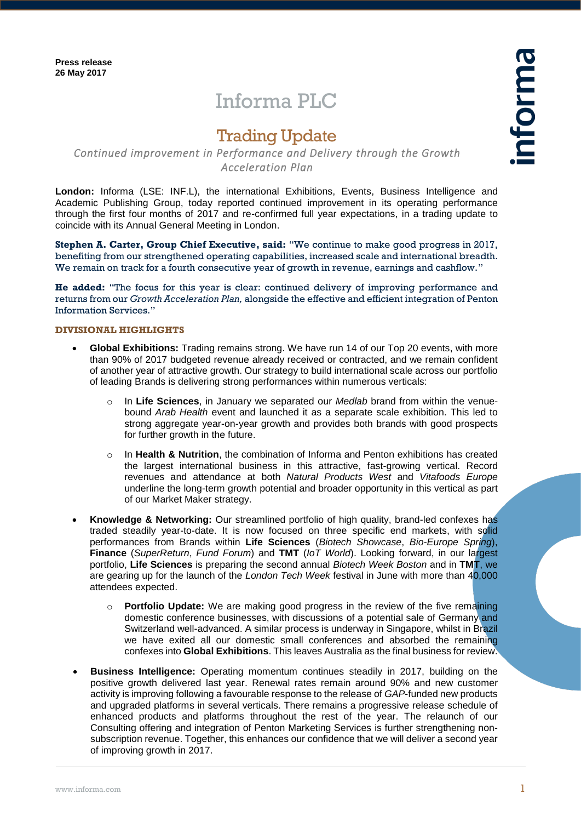# Informa PLC

## Trading Update

### *Continued improvement in Performance and Delivery through the Growth Acceleration Plan*

**London:** Informa (LSE: INF.L), the international Exhibitions, Events, Business Intelligence and Academic Publishing Group, today reported continued improvement in its operating performance through the first four months of 2017 and re-confirmed full year expectations, in a trading update to coincide with its Annual General Meeting in London.

**Stephen A. Carter, Group Chief Executive, said:** "We continue to make good progress in 2017, benefiting from our strengthened operating capabilities, increased scale and international breadth. We remain on track for a fourth consecutive year of growth in revenue, earnings and cashflow."

**He added:** "The focus for this year is clear: continued delivery of improving performance and returns from our *Growth Acceleration Plan,* alongside the effective and efficient integration of Penton Information Services."

#### **DIVISIONAL HIGHLIGHTS**

- **Global Exhibitions:** Trading remains strong. We have run 14 of our Top 20 events, with more than 90% of 2017 budgeted revenue already received or contracted, and we remain confident of another year of attractive growth. Our strategy to build international scale across our portfolio of leading Brands is delivering strong performances within numerous verticals:
	- o In **Life Sciences**, in January we separated our *Medlab* brand from within the venuebound *Arab Health* event and launched it as a separate scale exhibition. This led to strong aggregate year-on-year growth and provides both brands with good prospects for further growth in the future.
	- In **Health & Nutrition**, the combination of Informa and Penton exhibitions has created the largest international business in this attractive, fast-growing vertical. Record revenues and attendance at both *Natural Products West* and *Vitafoods Europe* underline the long-term growth potential and broader opportunity in this vertical as part of our Market Maker strategy.
- **Knowledge & Networking:** Our streamlined portfolio of high quality, brand-led confexes has traded steadily year-to-date. It is now focused on three specific end markets, with solid performances from Brands within **Life Sciences** (*Biotech Showcase*, *Bio-Europe Spring*), **Finance** (*SuperReturn*, *Fund Forum*) and **TMT** (*IoT World*). Looking forward, in our largest portfolio, **Life Sciences** is preparing the second annual *Biotech Week Boston* and in **TMT**, we are gearing up for the launch of the *London Tech Week* festival in June with more than 40,000 attendees expected.
	- o **Portfolio Update:** We are making good progress in the review of the five remaining domestic conference businesses, with discussions of a potential sale of Germany and Switzerland well-advanced. A similar process is underway in Singapore, whilst in Brazil we have exited all our domestic small conferences and absorbed the remaining confexes into **Global Exhibitions**. This leaves Australia as the final business for review.
- **Business Intelligence:** Operating momentum continues steadily in 2017, building on the positive growth delivered last year. Renewal rates remain around 90% and new customer activity is improving following a favourable response to the release of *GAP*-funded new products and upgraded platforms in several verticals. There remains a progressive release schedule of enhanced products and platforms throughout the rest of the year. The relaunch of our Consulting offering and integration of Penton Marketing Services is further strengthening nonsubscription revenue. Together, this enhances our confidence that we will deliver a second year of improving growth in 2017.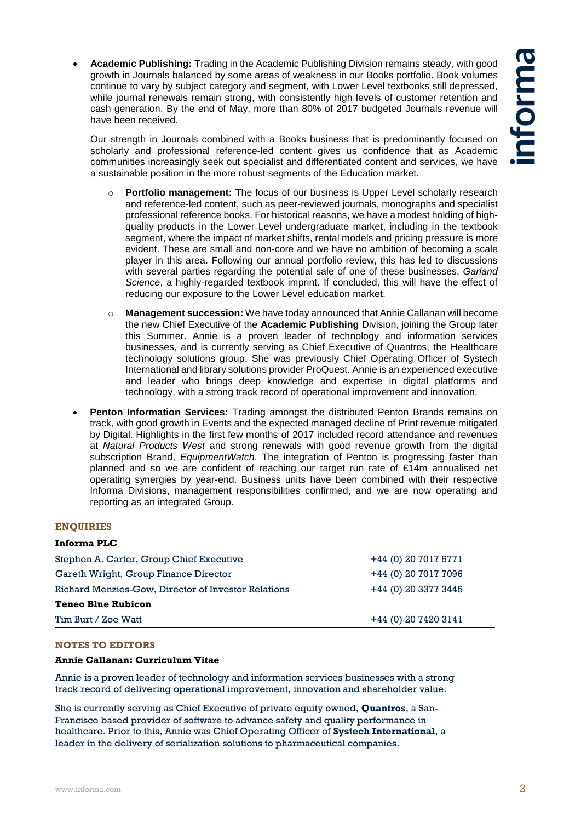**Academic Publishing:** Trading in the Academic Publishing Division remains steady, with good growth in Journals balanced by some areas of weakness in our Books portfolio. Book volumes continue to vary by subject category and segment, with Lower Level textbooks still depressed, while journal renewals remain strong, with consistently high levels of customer retention and cash generation. By the end of May, more than 80% of 2017 budgeted Journals revenue will have been received.

Our strength in Journals combined with a Books business that is predominantly focused on scholarly and professional reference-led content gives us confidence that as Academic communities increasingly seek out specialist and differentiated content and services, we have a sustainable position in the more robust segments of the Education market.

- o **Portfolio management:** The focus of our business is Upper Level scholarly research and reference-led content, such as peer-reviewed journals, monographs and specialist professional reference books. For historical reasons, we have a modest holding of highquality products in the Lower Level undergraduate market, including in the textbook segment, where the impact of market shifts, rental models and pricing pressure is more evident. These are small and non-core and we have no ambition of becoming a scale player in this area. Following our annual portfolio review, this has led to discussions with several parties regarding the potential sale of one of these businesses, *Garland Science*, a highly-regarded textbook imprint. If concluded, this will have the effect of reducing our exposure to the Lower Level education market.
- o **Management succession:** We have today announced that Annie Callanan will become the new Chief Executive of the **Academic Publishing** Division, joining the Group later this Summer. Annie is a proven leader of technology and information services businesses, and is currently serving as Chief Executive of Quantros, the Healthcare technology solutions group. She was previously Chief Operating Officer of Systech International and library solutions provider ProQuest. Annie is an experienced executive and leader who brings deep knowledge and expertise in digital platforms and technology, with a strong track record of operational improvement and innovation.
- **Penton Information Services:** Trading amongst the distributed Penton Brands remains on track, with good growth in Events and the expected managed decline of Print revenue mitigated by Digital. Highlights in the first few months of 2017 included record attendance and revenues at *Natural Products West* and strong renewals with good revenue growth from the digital subscription Brand, *EquipmentWatch*. The integration of Penton is progressing faster than planned and so we are confident of reaching our target run rate of £14m annualised net operating synergies by year-end. Business units have been combined with their respective Informa Divisions, management responsibilities confirmed, and we are now operating and reporting as an integrated Group.

| <b>ENQUIRIES</b>                                    |                       |
|-----------------------------------------------------|-----------------------|
| Informa PLC                                         |                       |
| Stephen A. Carter, Group Chief Executive            | +44 (0) 20 7017 5771  |
| Gareth Wright, Group Finance Director               | +44 (0) 20 7017 7096  |
| Richard Menzies-Gow, Director of Investor Relations | +44 (0) 20 3377 3445  |
| <b>Teneo Blue Rubicon</b>                           |                       |
| Tim Burt / Zoe Watt                                 | $+44(0)$ 20 7420 3141 |

#### **NOTES TO EDITORS**

#### **Annie Callanan: Curriculum Vitae**

Annie is a proven leader of technology and information services businesses with a strong track record of delivering operational improvement, innovation and shareholder value.

She is currently serving as Chief Executive of private equity owned, **Quantros**, a San-Francisco based provider of software to advance safety and quality performance in healthcare. Prior to this, Annie was Chief Operating Officer of **Systech International**, a leader in the delivery of serialization solutions to pharmaceutical companies.